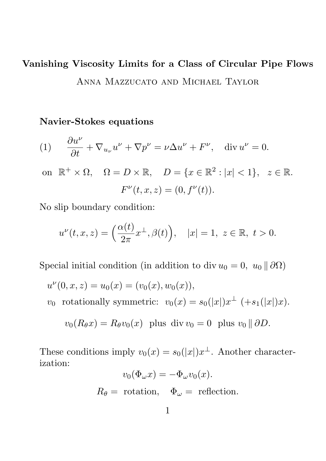# Vanishing Viscosity Limits for a Class of Circular Pipe Flows Anna Mazzucato and Michael Taylor

#### Navier-Stokes equations

(1) 
$$
\frac{\partial u^{\nu}}{\partial t} + \nabla_{u_{\nu}} u^{\nu} + \nabla p^{\nu} = \nu \Delta u^{\nu} + F^{\nu}, \text{ div } u^{\nu} = 0.
$$
  
on  $\mathbb{R}^{+} \times \Omega$ ,  $\Omega = D \times \mathbb{R}$ ,  $D = \{x \in \mathbb{R}^{2} : |x| < 1\}$ ,  $z \in \mathbb{R}$ .  

$$
F^{\nu}(t, x, z) = (0, f^{\nu}(t)).
$$

No slip boundary condition:

$$
u^{\nu}(t,x,z) = \left(\frac{\alpha(t)}{2\pi}x^{\perp}, \beta(t)\right), \quad |x| = 1, \ z \in \mathbb{R}, \ t > 0.
$$

Special initial condition (in addition to div  $u_0 = 0, u_0 \parallel \partial\Omega$ )

$$
u^{\nu}(0, x, z) = u_0(x) = (v_0(x), w_0(x)),
$$
  

$$
v_0 \text{ rotationally symmetric: } v_0(x) = s_0(|x|)x^{\perp} (+s_1(|x|)x).
$$

$$
v_0(R_{\theta}x) = R_{\theta}v_0(x)
$$
 plus div  $v_0 = 0$  plus  $v_0 \parallel \partial D$ .

These conditions imply  $v_0(x) = s_0(|x|)x^{\perp}$ . Another characterization:

$$
v_0(\Phi_{\omega} x) = -\Phi_{\omega} v_0(x).
$$
  

$$
R_{\theta} = \text{rotation}, \quad \Phi_{\omega} = \text{reflection}.
$$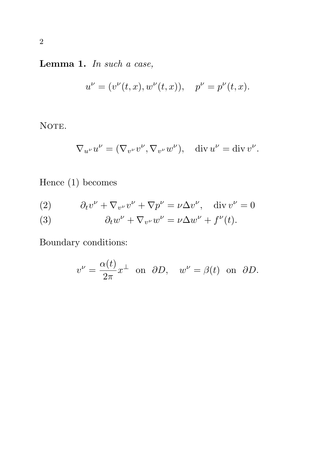# Lemma 1. In such a case,

$$
u^{\nu} = (v^{\nu}(t, x), w^{\nu}(t, x)), \quad p^{\nu} = p^{\nu}(t, x).
$$

NOTE.

$$
\nabla_{u^{\nu}} u^{\nu} = (\nabla_{v^{\nu}} v^{\nu}, \nabla_{v^{\nu}} w^{\nu}), \quad \text{div } u^{\nu} = \text{div } v^{\nu}.
$$

Hence (1) becomes

(2) 
$$
\partial_t v^{\nu} + \nabla_{v^{\nu}} v^{\nu} + \nabla p^{\nu} = \nu \Delta v^{\nu}, \quad \text{div } v^{\nu} = 0
$$

(3) 
$$
\partial_t w^{\nu} + \nabla_{v^{\nu}} w^{\nu} = \nu \Delta w^{\nu} + f^{\nu}(t).
$$

Boundary conditions:

$$
v^{\nu} = \frac{\alpha(t)}{2\pi}x^{\perp}
$$
 on  $\partial D$ ,  $w^{\nu} = \beta(t)$  on  $\partial D$ .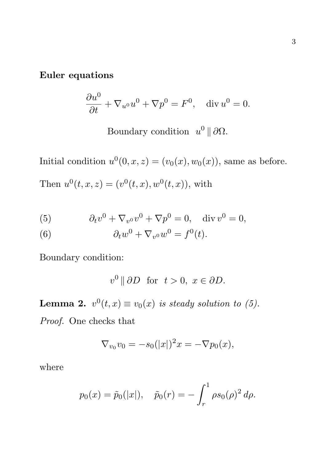#### Euler equations

$$
\frac{\partial u^0}{\partial t} + \nabla_{u^0} u^0 + \nabla p^0 = F^0, \quad \text{div } u^0 = 0.
$$

Boundary condition  $u^0 \parallel \partial \Omega$ .

Initial condition  $u^0(0, x, z) = (v_0(x), w_0(x))$ , same as before. Then  $u^0(t, x, z) = (v^0(t, x), w^0(t, x))$ , with

(5) 
$$
\partial_t v^0 + \nabla_{v^0} v^0 + \nabla p^0 = 0, \quad \text{div } v^0 = 0,
$$

(6) 
$$
\partial_t w^0 + \nabla_{v^0} w^0 = f^0(t).
$$

Boundary condition:

$$
v^0 \parallel \partial D \quad \text{for} \quad t > 0, \ x \in \partial D.
$$

**Lemma 2.**  $v^0(t,x) \equiv v_0(x)$  is steady solution to (5).

Proof. One checks that

$$
\nabla_{v_0} v_0 = -s_0(|x|)^2 x = -\nabla p_0(x),
$$

where

$$
p_0(x) = \tilde{p}_0(|x|), \quad \tilde{p}_0(r) = -\int_r^1 \rho s_0(\rho)^2 d\rho.
$$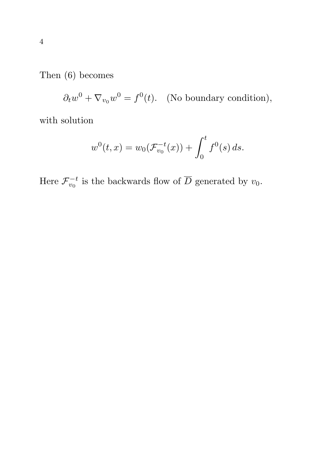Then (6) becomes

 $\partial_t w^0 + \nabla_{v_0} w^0 = f^0(t)$ . (No boundary condition),

with solution

$$
w^{0}(t,x) = w_{0}(\mathcal{F}_{v_{0}}^{-t}(x)) + \int_{0}^{t} f^{0}(s) ds.
$$

Here  $\mathcal{F}_{v_0}^{-t}$  $v_0^{-t}$  is the backwards flow of  $\overline{D}$  generated by  $v_0$ .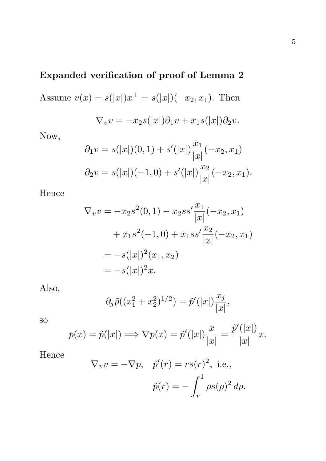## Expanded verification of proof of Lemma 2

Assume  $v(x) = s(|x|)x^{\perp} = s(|x|)(-x_2, x_1)$ . Then  $\nabla_v v = -x_2 s(|x|) \partial_1 v + x_1 s(|x|) \partial_2 v.$ 

Now,

$$
\partial_1 v = s(|x|)(0,1) + s'(|x|) \frac{x_1}{|x|}(-x_2, x_1)
$$
  

$$
\partial_2 v = s(|x|)(-1,0) + s'(|x|) \frac{x_2}{|x|}(-x_2, x_1).
$$

Hence

$$
\nabla_v v = -x_2 s^2(0, 1) - x_2 s s' \frac{x_1}{|x|}(-x_2, x_1)
$$
  
+  $x_1 s^2(-1, 0) + x_1 s s' \frac{x_2}{|x|}(-x_2, x_1)$   
=  $-s(|x|)^2(x_1, x_2)$   
=  $-s(|x|)^2 x$ .

Also,

$$
\partial_j \tilde{p}((x_1^2 + x_2^2)^{1/2}) = \tilde{p}'(|x|) \frac{x_j}{|x|},
$$

so

$$
p(x) = \tilde{p}(|x|) \Longrightarrow \nabla p(x) = \tilde{p}'(|x|) \frac{x}{|x|} = \frac{\tilde{p}'(|x|)}{|x|} x.
$$

Hence

$$
\nabla_v v = -\nabla p, \quad \tilde{p}'(r) = rs(r)^2, \text{ i.e.,}
$$

$$
\tilde{p}(r) = -\int_r^1 \rho s(\rho)^2 d\rho.
$$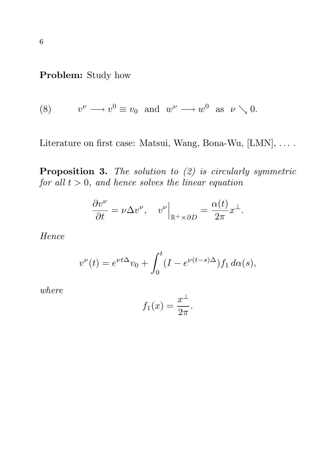Problem: Study how

(8) 
$$
v^{\nu} \longrightarrow v^0 \equiv v_0
$$
 and  $w^{\nu} \longrightarrow w^0$  as  $\nu \searrow 0$ .

Literature on first case: Matsui, Wang, Bona-Wu, [LMN], ....

**Proposition 3.** The solution to  $(2)$  is circularly symmetric for all  $t > 0$ , and hence solves the linear equation

$$
\frac{\partial v^{\nu}}{\partial t} = \nu \Delta v^{\nu}, \quad v^{\nu} \Big|_{\mathbb{R}^+ \times \partial D} = \frac{\alpha(t)}{2\pi} x^{\perp}.
$$

Hence

$$
v^{\nu}(t) = e^{\nu t \Delta} v_0 + \int_0^t (I - e^{\nu (t - s)\Delta}) f_1 d\alpha(s),
$$

where

$$
f_1(x) = \frac{x^{\perp}}{2\pi}.
$$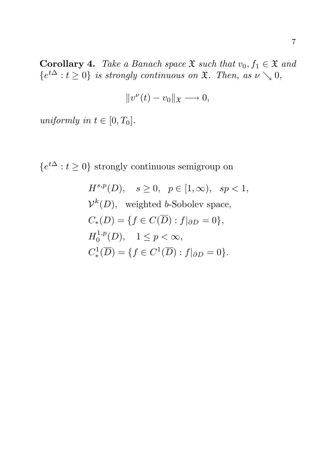Corollary 4. Take a Banach space  $\mathfrak X$  such that  $v_0, f_1 \in \mathfrak X$  and  $\{e^{t\Delta}: t \geq 0\}$  is strongly continuous on  $\mathfrak{X}$ . Then, as  $\nu \searrow 0$ ,

$$
||v^{\nu}(t)-v_0||_{\mathfrak{X}}\longrightarrow 0,
$$

uniformly in  $t \in [0, T_0]$ .

 $\{e^{t\Delta}: t \geq 0\}$  strongly continuous semigroup on

$$
H^{s,p}(D), \quad s \ge 0, \quad p \in [1, \infty), \quad sp < 1,
$$
  
\n
$$
\mathcal{V}^k(D), \text{ weighted } b\text{-Sobolev space},
$$
  
\n
$$
C_*(D) = \{ f \in C(\overline{D}) : f|_{\partial D} = 0 \},
$$
  
\n
$$
H_0^{1,p}(D), \quad 1 \le p < \infty,
$$
  
\n
$$
C_*^1(\overline{D}) = \{ f \in C^1(\overline{D}) : f|_{\partial D} = 0 \}.
$$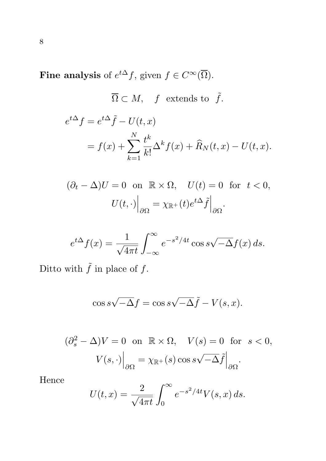Fine analysis of  $e^{t\Delta} f$ , given  $f \in C^{\infty}(\overline{\Omega})$ .

$$
\overline{\Omega} \subset M, \quad f \text{ extends to } \tilde{f}.
$$

$$
e^{t\Delta} f = e^{t\Delta} \tilde{f} - U(t, x)
$$

$$
= f(x) + \sum_{k=1}^{N} \frac{t^k}{k!} \Delta^k f(x) + \widehat{R}_N(t, x) - U(t, x).
$$

$$
(\partial_t - \Delta)U = 0 \text{ on } \mathbb{R} \times \Omega, \quad U(t) = 0 \text{ for } t < 0,
$$

$$
U(t, \cdot) \Big|_{\partial \Omega} = \chi_{\mathbb{R}^+}(t)e^{t\Delta} \tilde{f} \Big|_{\partial \Omega}.
$$

$$
e^{t\Delta}f(x) = \frac{1}{\sqrt{4\pi t}} \int_{-\infty}^{\infty} e^{-s^2/4t} \cos s\sqrt{-\Delta}f(x) \, ds.
$$

Ditto with  $\tilde{f}$  in place of  $f$ .

$$
\cos s\sqrt{-\Delta}f = \cos s\sqrt{-\Delta}\tilde{f} - V(s, x).
$$

$$
(\partial_s^2 - \Delta)V = 0 \text{ on } \mathbb{R} \times \Omega, \quad V(s) = 0 \text{ for } s < 0,
$$

$$
V(s, \cdot)\Big|_{\partial\Omega} = \chi_{\mathbb{R}^+}(s) \cos s \sqrt{-\Delta} \tilde{f}\Big|_{\partial\Omega}.
$$

Hence

$$
U(t,x) = \frac{2}{\sqrt{4\pi t}} \int_0^\infty e^{-s^2/4t} V(s,x) ds.
$$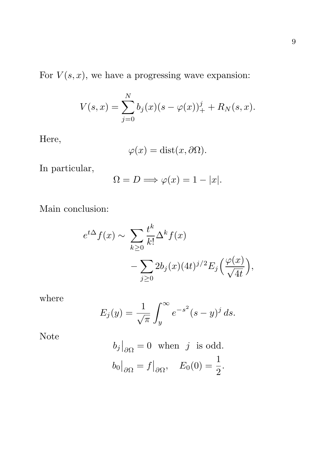For  $V(s, x)$ , we have a progressing wave expansion:

$$
V(s,x) = \sum_{j=0}^{N} b_j(x)(s - \varphi(x))_+^j + R_N(s,x).
$$

Here,

$$
\varphi(x) = \text{dist}(x, \partial \Omega).
$$

In particular,

$$
\Omega = D \Longrightarrow \varphi(x) = 1 - |x|.
$$

Main conclusion:

$$
e^{t\Delta} f(x) \sim \sum_{k\geq 0} \frac{t^k}{k!} \Delta^k f(x)
$$

$$
- \sum_{j\geq 0} 2b_j(x) (4t)^{j/2} E_j \left(\frac{\varphi(x)}{\sqrt{4t}}\right),
$$

where

$$
E_j(y) = \frac{1}{\sqrt{\pi}} \int_y^{\infty} e^{-s^2} (s - y)^j ds.
$$

Note

$$
b_j|_{\partial\Omega} = 0
$$
 when j is odd.  
 $b_0|_{\partial\Omega} = f|_{\partial\Omega}, E_0(0) = \frac{1}{2}.$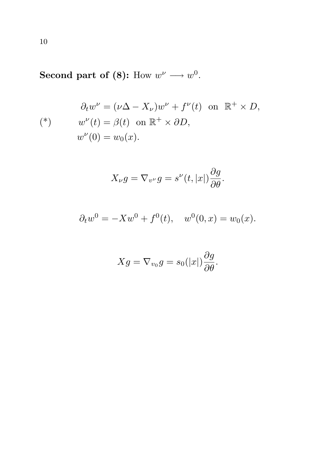Second part of (8): How  $w^{\nu} \longrightarrow w^{0}$ .

$$
\partial_t w^{\nu} = (\nu \Delta - X_{\nu}) w^{\nu} + f^{\nu}(t) \text{ on } \mathbb{R}^+ \times D,
$$
  
\n
$$
w^{\nu}(t) = \beta(t) \text{ on } \mathbb{R}^+ \times \partial D,
$$
  
\n
$$
w^{\nu}(0) = w_0(x).
$$

$$
X_{\nu}g = \nabla_{v^{\nu}}g = s^{\nu}(t,|x|)\frac{\partial g}{\partial \theta}.
$$

$$
\partial_t w^0 = -Xw^0 + f^0(t)
$$
,  $w^0(0, x) = w_0(x)$ .

$$
Xg = \nabla_{v_0} g = s_0(|x|) \frac{\partial g}{\partial \theta}.
$$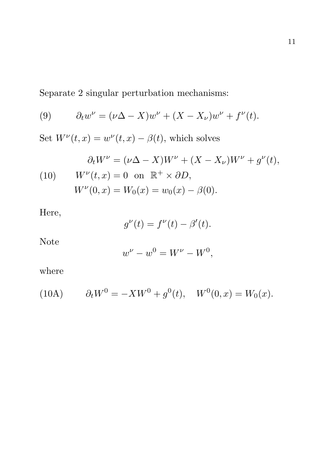Separate 2 singular perturbation mechanisms:

(9) 
$$
\partial_t w^{\nu} = (\nu \Delta - X) w^{\nu} + (X - X_{\nu}) w^{\nu} + f^{\nu}(t).
$$

Set  $W^{\nu}(t,x) = w^{\nu}(t,x) - \beta(t)$ , which solves

(10) 
$$
\partial_t W^{\nu} = (\nu \Delta - X)W^{\nu} + (X - X_{\nu})W^{\nu} + g^{\nu}(t),
$$

$$
W^{\nu}(t, x) = 0 \text{ on } \mathbb{R}^+ \times \partial D,
$$

$$
W^{\nu}(0, x) = W_0(x) = w_0(x) - \beta(0).
$$

Here,

$$
g^{\nu}(t) = f^{\nu}(t) - \beta'(t).
$$

Note

$$
w^{\nu} - w^0 = W^{\nu} - W^0,
$$

where

(10A) 
$$
\partial_t W^0 = -X W^0 + g^0(t), \quad W^0(0, x) = W_0(x).
$$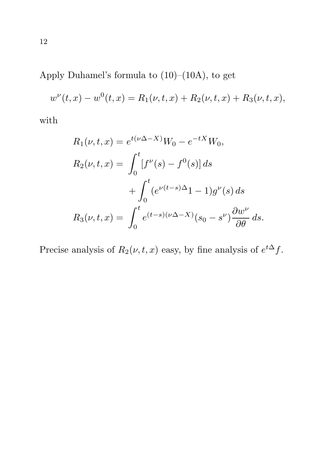Apply Duhamel's formula to (10)–(10A), to get

$$
w^{\nu}(t,x) - w^{0}(t,x) = R_{1}(\nu,t,x) + R_{2}(\nu,t,x) + R_{3}(\nu,t,x),
$$

with

$$
R_1(\nu, t, x) = e^{t(\nu \Delta - X)} W_0 - e^{-tX} W_0,
$$
  
\n
$$
R_2(\nu, t, x) = \int_0^t [f^{\nu}(s) - f^0(s)] ds
$$
  
\n
$$
+ \int_0^t (e^{\nu(t-s)\Delta} 1 - 1) g^{\nu}(s) ds
$$
  
\n
$$
R_3(\nu, t, x) = \int_0^t e^{(t-s)(\nu \Delta - X)} (s_0 - s^{\nu}) \frac{\partial w^{\nu}}{\partial \theta} ds.
$$

Precise analysis of  $R_2(\nu, t, x)$  easy, by fine analysis of  $e^{t\Delta} f$ .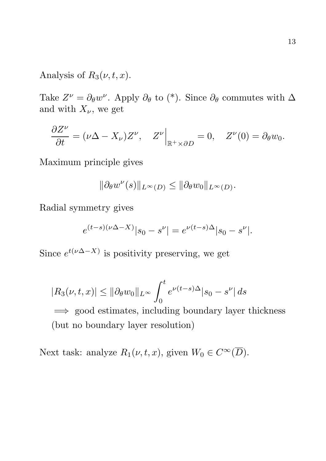### Analysis of  $R_3(\nu, t, x)$ .

Take  $Z^{\nu} = \partial_{\theta} w^{\nu}$ . Apply  $\partial_{\theta}$  to (\*). Since  $\partial_{\theta}$  commutes with  $\Delta$ and with  $X_{\nu}$ , we get

$$
\frac{\partial Z^{\nu}}{\partial t} = (\nu \Delta - X_{\nu}) Z^{\nu}, \quad Z^{\nu} \Big|_{\mathbb{R}^+ \times \partial D} = 0, \quad Z^{\nu}(0) = \partial_{\theta} w_0.
$$

Maximum principle gives

$$
\|\partial_{\theta}w^{\nu}(s)\|_{L^{\infty}(D)} \le \|\partial_{\theta}w_0\|_{L^{\infty}(D)}.
$$

Radial symmetry gives

$$
e^{(t-s)(\nu\Delta-X)}|s_0 - s^{\nu}| = e^{\nu(t-s)\Delta}|s_0 - s^{\nu}|.
$$

Since  $e^{t(\nu \Delta - X)}$  is positivity preserving, we get

$$
|R_3(\nu, t, x)| \le ||\partial_{\theta} w_0||_{L^{\infty}} \int_0^t e^{\nu(t - s)\Delta} |s_0 - s^{\nu}| ds
$$
  
\n
$$
\implies \text{good estimates, including boundary layer thickness}
$$
  
\n(but no boundary layer resolution)

Next task: analyze  $R_1(\nu, t, x)$ , given  $W_0 \in C^\infty(\overline{D})$ .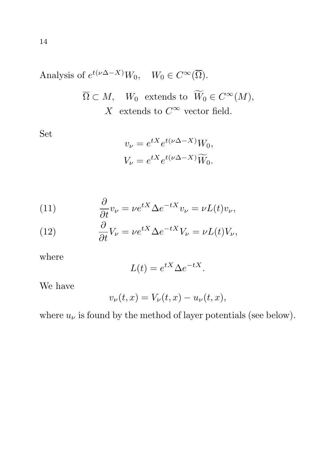Analysis of 
$$
e^{t(\nu \Delta - X)}W_0
$$
,  $W_0 \in C^{\infty}(\overline{\Omega})$ .  
\n $\overline{\Omega} \subset M$ ,  $W_0$  extends to  $\widetilde{W}_0 \in C^{\infty}(M)$ ,  
\nX extends to  $C^{\infty}$  vector field.

Set

$$
v_{\nu} = e^{tX} e^{t(\nu \Delta - X)} W_0,
$$
  

$$
V_{\nu} = e^{tX} e^{t(\nu \Delta - X)} \widetilde{W}_0.
$$

(11) 
$$
\frac{\partial}{\partial t}v_{\nu} = \nu e^{tX} \Delta e^{-tX} v_{\nu} = \nu L(t)v_{\nu},
$$

(12) 
$$
\frac{\partial}{\partial t}V_{\nu} = \nu e^{tX} \Delta e^{-tX} V_{\nu} = \nu L(t) V_{\nu},
$$

where

$$
L(t) = e^{tX} \Delta e^{-tX}.
$$

We have

$$
v_{\nu}(t,x) = V_{\nu}(t,x) - u_{\nu}(t,x),
$$

where  $u_{\nu}$  is found by the method of layer potentials (see below).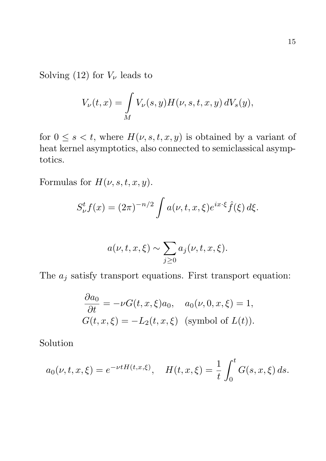Solving (12) for  $V_{\nu}$  leads to

$$
V_{\nu}(t,x) = \int\limits_{M} V_{\nu}(s,y) H(\nu, s, t, x, y) dV_s(y),
$$

for  $0 \leq s < t$ , where  $H(\nu, s, t, x, y)$  is obtained by a variant of heat kernel asymptotics, also connected to semiclassical asymptotics.

Formulas for  $H(\nu, s, t, x, y)$ .

$$
S_{\nu}^t f(x) = (2\pi)^{-n/2} \int a(\nu, t, x, \xi) e^{ix \cdot \xi} \hat{f}(\xi) d\xi.
$$

$$
a(\nu, t, x, \xi) \sim \sum_{j \ge 0} a_j(\nu, t, x, \xi).
$$

The  $a_j$  satisfy transport equations. First transport equation:

$$
\frac{\partial a_0}{\partial t} = -\nu G(t, x, \xi) a_0, \quad a_0(\nu, 0, x, \xi) = 1,
$$
  

$$
G(t, x, \xi) = -L_2(t, x, \xi) \text{ (symbol of } L(t)).
$$

Solution

$$
a_0(\nu, t, x, \xi) = e^{-\nu t H(t, x, \xi)}, \quad H(t, x, \xi) = \frac{1}{t} \int_0^t G(s, x, \xi) ds.
$$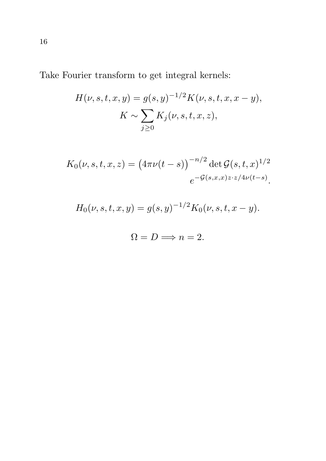Take Fourier transform to get integral kernels:

$$
H(\nu, s, t, x, y) = g(s, y)^{-1/2} K(\nu, s, t, x, x - y),
$$

$$
K \sim \sum_{j \ge 0} K_j(\nu, s, t, x, z),
$$

$$
K_0(\nu, s, t, x, z) = (4\pi\nu(t - s))^{-n/2} \det \mathcal{G}(s, t, x)^{1/2}
$$
  

$$
e^{-\mathcal{G}(s, x, x)z \cdot z/4\nu(t - s)}.
$$

$$
H_0(\nu, s, t, x, y) = g(s, y)^{-1/2} K_0(\nu, s, t, x - y).
$$

$$
\Omega = D \Longrightarrow n = 2.
$$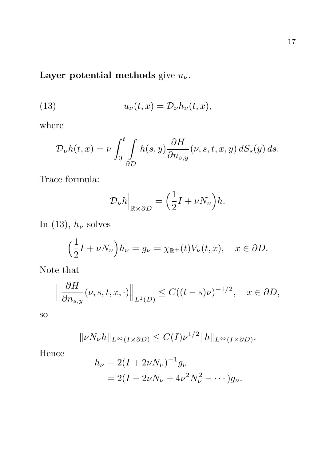# Layer potential methods give  $u_{\nu}$ .

(13) 
$$
u_{\nu}(t,x) = \mathcal{D}_{\nu} h_{\nu}(t,x),
$$

where

$$
\mathcal{D}_{\nu}h(t,x) = \nu \int_0^t \int_{\partial D} h(s,y) \frac{\partial H}{\partial n_{s,y}}(\nu, s, t, x, y) dS_s(y) ds.
$$

Trace formula:

$$
\mathcal{D}_{\nu}h\Big|_{\mathbb{R}\times\partial D} = \Big(\frac{1}{2}I + \nu N_{\nu}\Big)h.
$$

In (13),  $h_{\nu}$  solves

$$
\left(\frac{1}{2}I + \nu N_{\nu}\right)h_{\nu} = g_{\nu} = \chi_{\mathbb{R}^+}(t)V_{\nu}(t, x), \quad x \in \partial D.
$$

Note that

$$
\left\|\frac{\partial H}{\partial n_{s,y}}(\nu,s,t,x,\cdot)\right\|_{L^1(D)} \le C((t-s)\nu)^{-1/2}, \quad x \in \partial D,
$$

so

$$
\|\nu N_{\nu}h\|_{L^{\infty}(I\times\partial D)} \leq C(I)\nu^{1/2} \|h\|_{L^{\infty}(I\times\partial D)}.
$$

Hence

$$
h_{\nu} = 2(I + 2\nu N_{\nu})^{-1} g_{\nu}
$$
  
= 2(I - 2\nu N\_{\nu} + 4\nu^2 N\_{\nu}^2 - \cdots)g\_{\nu}.